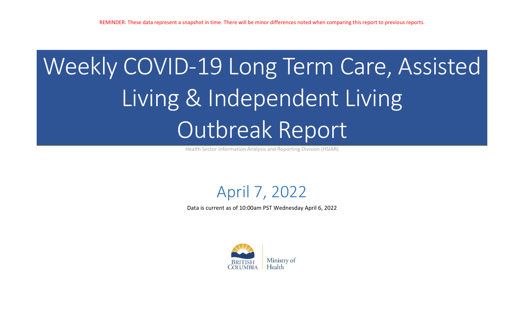# Weekly COVID-19 Long Term Care, Assisted Living & Independent Living Outbreak Report

Health Sector Information Analysis and Reporting Division (HSIAR)

# April 7, 2022

Data is current as of 10:00am PST Wednesday April 6, 2022

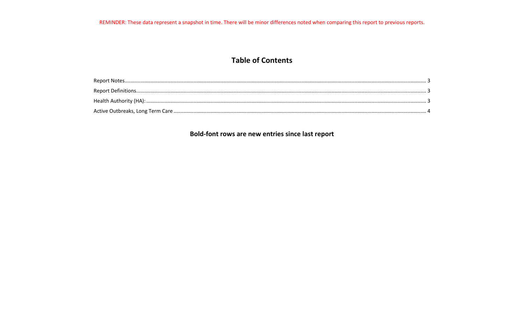REMINDER: These data represent a snapshot in time. There will be minor differences noted when comparing this report to previous reports.

### **Table of Contents**

## Bold-font rows are new entries since last report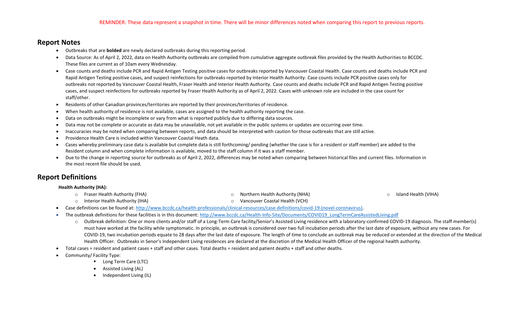#### <span id="page-2-0"></span>**Report Notes**

- Outbreaks that are **bolded** are newly declared outbreaks during this reporting period.
- Data Source: As of April 2, 2022, data on Health Authority outbreaks are compiled from cumulative aggregate outbreak files provided by the Health Authorities to BCCDC. These files are current as of 10am every Wednesday.
- Case counts and deaths include PCR and Rapid Antigen Testing positive cases for outbreaks reported by Vancouver Coastal Health. Case counts and deaths include PCR and Rapid Antigen Testing positive cases, and suspect reinfections for outbreaks reported by Interior Health Authority. Case counts include PCR positive cases only for outbreaks not reported by Vancouver Coastal Health, Fraser Health and Interior Health Authority. Case counts and deaths include PCR and Rapid Antigen Testing positive cases, and suspect reinfections for outbreaks reported by Fraser Health Authority as of April 2, 2022. Cases with unknown role are included in the case count for staff/other.
- Residents of other Canadian provinces/territories are reported by their provinces/territories of residence.
- When health authority of residence is not available, cases are assigned to the health authority reporting the case.
- Data on outbreaks might be incomplete or vary from what is reported publicly due to differing data sources.
- Data may not be complete or accurate as data may be unavailable, not yet available in the public systems or updates are occurring over time.
- Inaccuracies may be noted when comparing between reports, and data should be interpreted with caution for those outbreaks that are still active.
- Providence Health Care is included within Vancouver Coastal Heath data.
- Cases whereby preliminary case data is available but complete data is still forthcoming/ pending (whether the case is for a resident or staff member) are added to the Resident column and when complete information is available, moved to the staff column if it was a staff member.
- Due to the change in reporting source for outbreaks as of April 2, 2022, differences may be noted when comparing between historical files and current files. Information in the most recent file should be used.

#### <span id="page-2-1"></span>**Report Definitions**

#### <span id="page-2-2"></span> **Health Authority (HA):**

- o Fraser Health Authority (FHA)
- o Interior Health Authority (IHA)

o Northern Health Authority (NHA)

o Island Health (VIHA)

- o Vancouver Coastal Health (VCH)
- Case definitions can be found at: [http://www.bccdc.ca/health-professionals/clinical-resources/case-definitions/covid-19-\(novel-coronavirus\).](http://www.bccdc.ca/health-professionals/clinical-resources/case-definitions/covid-19-(novel-coronavirus))
- The outbreak definitions for these facilities is in this document: [http://www.bccdc.ca/Health-Info-Site/Documents/COVID19\\_LongTermCareAssistedLiving.pdf](http://www.bccdc.ca/Health-Info-Site/Documents/COVID19_LongTermCareAssistedLiving.pdf)
	- o Outbreak definition: One or more clients and/or staff of a Long-Term Care facility/Senior's Assisted Living residence with a laboratory-confirmed COVID-19 diagnosis. The staff member(s) must have worked at the facility while symptomatic. In principle, an outbreak is considered over two full incubation periods after the last date of exposure, without any new cases. For COVID-19, two incubation periods equate to 28 days after the last date of exposure. The length of time to conclude an outbreak may be reduced or extended at the direction of the Medical Health Officer. Outbreaks in Senor's Independent Living residences are declared at the discretion of the Medical Health Officer of the regional health authority.
- Total cases = resident and patient cases + staff and other cases. Total deaths = resident and patient deaths + staff and other deaths.
- Community/ Facility Type:
	- Long Term Care (LTC)
	- Assisted Living (AL)
	- Independent Living (IL)